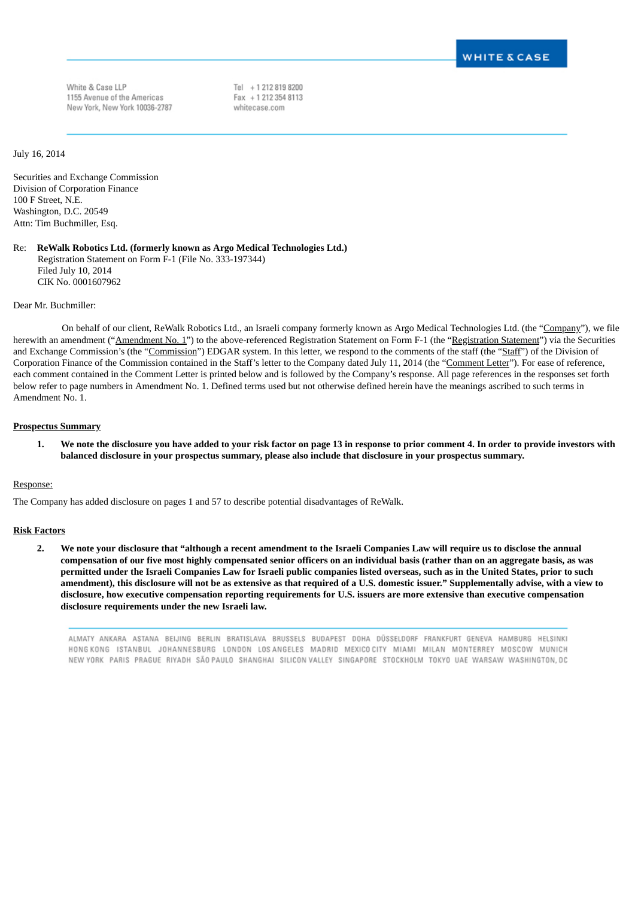White & Case LLP 1155 Avenue of the Americas New York, New York 10036-2787 Tel + 1 212 819 8200 Fax + 1 212 354 8113 whitecase.com

July 16, 2014

Securities and Exchange Commission Division of Corporation Finance 100 F Street, N.E. Washington, D.C. 20549 Attn: Tim Buchmiller, Esq.

Re: **ReWalk Robotics Ltd. (formerly known as Argo Medical Technologies Ltd.)** Registration Statement on Form F-1 (File No. 333-197344) Filed July 10, 2014 CIK No. 0001607962

Dear Mr. Buchmiller:

On behalf of our client, ReWalk Robotics Ltd., an Israeli company formerly known as Argo Medical Technologies Ltd. (the "Company"), we file herewith an amendment ("Amendment No. 1") to the above-referenced Registration Statement on Form F-1 (the "Registration Statement") via the Securities and Exchange Commission's (the "Commission") EDGAR system. In this letter, we respond to the comments of the staff (the "Staff") of the Division of Corporation Finance of the Commission contained in the Staff's letter to the Company dated July 11, 2014 (the "Comment Letter"). For ease of reference, each comment contained in the Comment Letter is printed below and is followed by the Company's response. All page references in the responses set forth below refer to page numbers in Amendment No. 1. Defined terms used but not otherwise defined herein have the meanings ascribed to such terms in Amendment No. 1.

#### **Prospectus Summary**

1. We note the disclosure you have added to your risk factor on page 13 in response to prior comment 4. In order to provide investors with **balanced disclosure in your prospectus summary, please also include that disclosure in your prospectus summary.**

#### Response:

The Company has added disclosure on pages 1 and 57 to describe potential disadvantages of ReWalk.

#### **Risk Factors**

2. We note your disclosure that "although a recent amendment to the Israeli Companies Law will require us to disclose the annual compensation of our five most highly compensated senior officers on an individual basis (rather than on an aggregate basis, as was permitted under the Israeli Companies Law for Israeli public companies listed overseas, such as in the United States, prior to such amendment), this disclosure will not be as extensive as that required of a U.S. domestic issuer." Supplementally advise, with a view to disclosure, how executive compensation reporting requirements for U.S. issuers are more extensive than executive compensation **disclosure requirements under the new Israeli law.**

ALMATY ANKARA ASTANA BELJING BERLIN BRATISLAVA BRUSSELS BUDAPEST DOHA DÜSSELDORF FRANKFURT GENEVA HAMBURG HELSINKI HONG KONG ISTANBUL JOHANNESBURG LONDON LOSANGELES MADRID MEXICOCITY MIAMI MILAN MONTERREY MOSCOW MUNICH NEW YORK PARIS PRAGUE RIYADH SÃO PAULO SHANGHAI SILICON VALLEY SINGAPORE STOCKHOLM TOKYO UAE WARSAW WASHINGTON, DC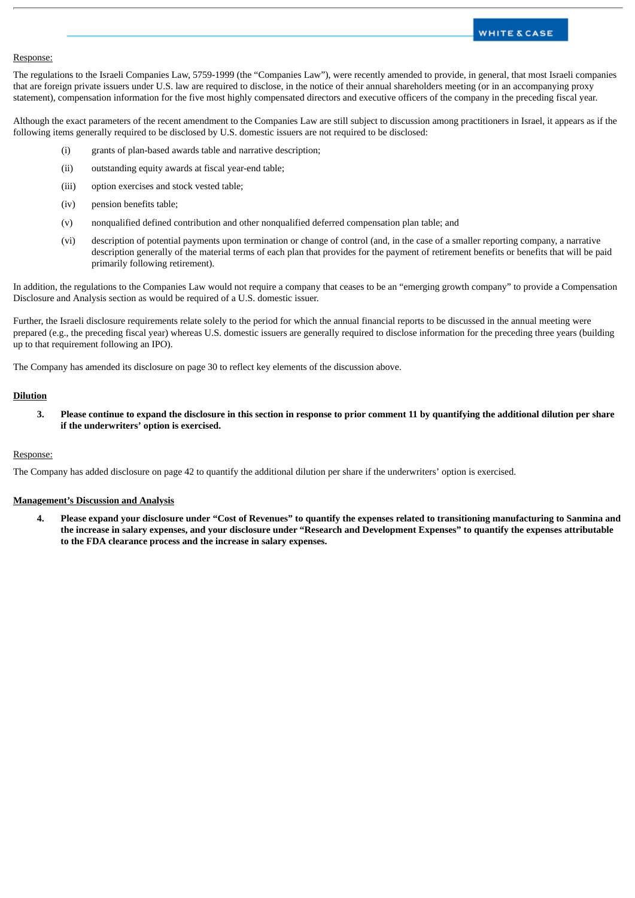# **WHITE & CASE**

#### Response:

The regulations to the Israeli Companies Law, 5759-1999 (the "Companies Law"), were recently amended to provide, in general, that most Israeli companies that are foreign private issuers under U.S. law are required to disclose, in the notice of their annual shareholders meeting (or in an accompanying proxy statement), compensation information for the five most highly compensated directors and executive officers of the company in the preceding fiscal year.

Although the exact parameters of the recent amendment to the Companies Law are still subject to discussion among practitioners in Israel, it appears as if the following items generally required to be disclosed by U.S. domestic issuers are not required to be disclosed:

- (i) grants of plan-based awards table and narrative description;
- (ii) outstanding equity awards at fiscal year-end table;
- (iii) option exercises and stock vested table;
- (iv) pension benefits table;
- (v) nonqualified defined contribution and other nonqualified deferred compensation plan table; and
- (vi) description of potential payments upon termination or change of control (and, in the case of a smaller reporting company, a narrative description generally of the material terms of each plan that provides for the payment of retirement benefits or benefits that will be paid primarily following retirement).

In addition, the regulations to the Companies Law would not require a company that ceases to be an "emerging growth company" to provide a Compensation Disclosure and Analysis section as would be required of a U.S. domestic issuer.

Further, the Israeli disclosure requirements relate solely to the period for which the annual financial reports to be discussed in the annual meeting were prepared (e.g., the preceding fiscal year) whereas U.S. domestic issuers are generally required to disclose information for the preceding three years (building up to that requirement following an IPO).

The Company has amended its disclosure on page 30 to reflect key elements of the discussion above.

# **Dilution**

3. Please continue to expand the disclosure in this section in response to prior comment 11 by quantifying the additional dilution per share **if the underwriters' option is exercised.**

# Response:

The Company has added disclosure on page 42 to quantify the additional dilution per share if the underwriters' option is exercised.

## **Management's Discussion and Analysis**

4. Please expand your disclosure under "Cost of Revenues" to quantify the expenses related to transitioning manufacturing to Sanmina and the increase in salary expenses, and your disclosure under "Research and Development Expenses" to quantify the expenses attributable **to the FDA clearance process and the increase in salary expenses.**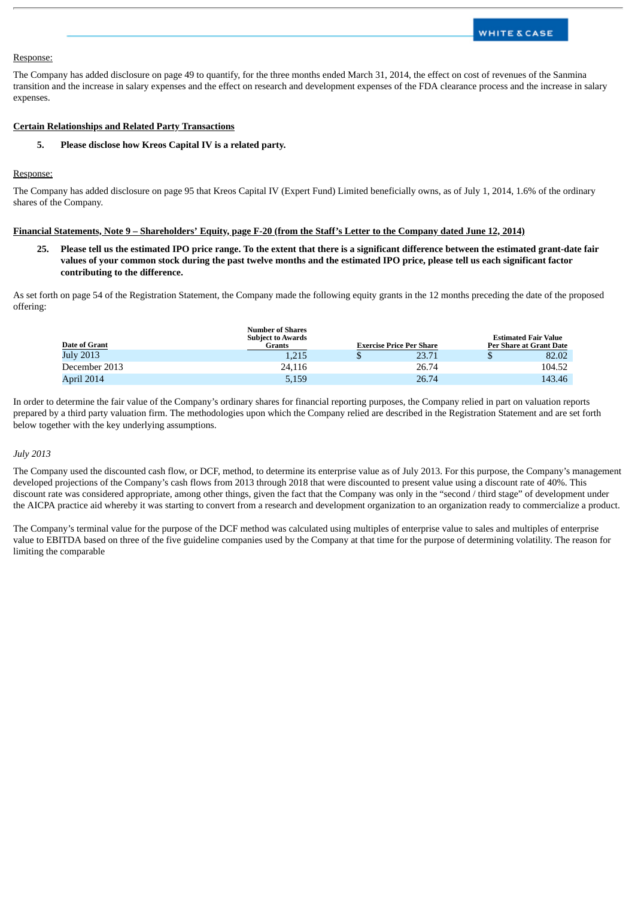# Response:

The Company has added disclosure on page 49 to quantify, for the three months ended March 31, 2014, the effect on cost of revenues of the Sanmina transition and the increase in salary expenses and the effect on research and development expenses of the FDA clearance process and the increase in salary expenses.

# **Certain Relationships and Related Party Transactions**

**5. Please disclose how Kreos Capital IV is a related party.**

#### Response:

The Company has added disclosure on page 95 that Kreos Capital IV (Expert Fund) Limited beneficially owns, as of July 1, 2014, 1.6% of the ordinary shares of the Company.

### Financial Statements, Note 9 - Shareholders' Equity, page F-20 (from the Staff's Letter to the Company dated June 12, 2014)

25. Please tell us the estimated IPO price range. To the extent that there is a significant difference between the estimated grant-date fair values of your common stock during the past twelve months and the estimated IPO price, please tell us each significant factor **contributing to the difference.**

As set forth on page 54 of the Registration Statement, the Company made the following equity grants in the 12 months preceding the date of the proposed offering:

| <b>Date of Grant</b> | <b>Number of Shares</b><br><b>Subject to Awards</b><br>Grants | <b>Exercise Price Per Share</b> |       | <b>Estimated Fair Value</b><br>Per Share at Grant Date |        |
|----------------------|---------------------------------------------------------------|---------------------------------|-------|--------------------------------------------------------|--------|
| July 2013            | 1,215                                                         |                                 | 23.71 |                                                        | 82.02  |
| December 2013        | 24.116                                                        |                                 | 26.74 |                                                        | 104.52 |
| April 2014           | 5,159                                                         |                                 | 26.74 |                                                        | 143.46 |

In order to determine the fair value of the Company's ordinary shares for financial reporting purposes, the Company relied in part on valuation reports prepared by a third party valuation firm. The methodologies upon which the Company relied are described in the Registration Statement and are set forth below together with the key underlying assumptions.

### *July 2013*

The Company used the discounted cash flow, or DCF, method, to determine its enterprise value as of July 2013. For this purpose, the Company's management developed projections of the Company's cash flows from 2013 through 2018 that were discounted to present value using a discount rate of 40%. This discount rate was considered appropriate, among other things, given the fact that the Company was only in the "second / third stage" of development under the AICPA practice aid whereby it was starting to convert from a research and development organization to an organization ready to commercialize a product.

The Company's terminal value for the purpose of the DCF method was calculated using multiples of enterprise value to sales and multiples of enterprise value to EBITDA based on three of the five guideline companies used by the Company at that time for the purpose of determining volatility. The reason for limiting the comparable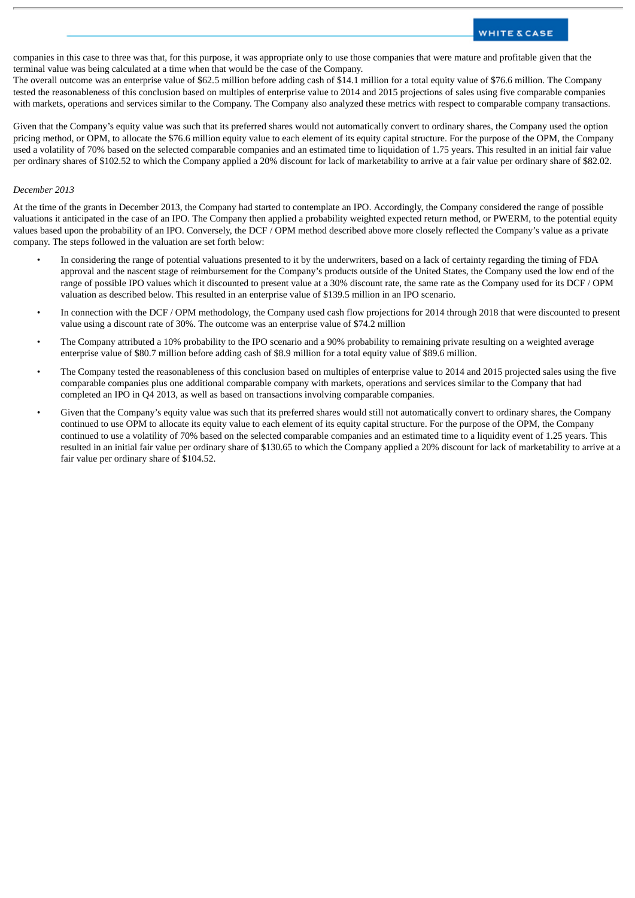companies in this case to three was that, for this purpose, it was appropriate only to use those companies that were mature and profitable given that the terminal value was being calculated at a time when that would be the case of the Company.

The overall outcome was an enterprise value of \$62.5 million before adding cash of \$14.1 million for a total equity value of \$76.6 million. The Company tested the reasonableness of this conclusion based on multiples of enterprise value to 2014 and 2015 projections of sales using five comparable companies with markets, operations and services similar to the Company. The Company also analyzed these metrics with respect to comparable company transactions.

Given that the Company's equity value was such that its preferred shares would not automatically convert to ordinary shares, the Company used the option pricing method, or OPM, to allocate the \$76.6 million equity value to each element of its equity capital structure. For the purpose of the OPM, the Company used a volatility of 70% based on the selected comparable companies and an estimated time to liquidation of 1.75 years. This resulted in an initial fair value per ordinary shares of \$102.52 to which the Company applied a 20% discount for lack of marketability to arrive at a fair value per ordinary share of \$82.02.

# *December 2013*

At the time of the grants in December 2013, the Company had started to contemplate an IPO. Accordingly, the Company considered the range of possible valuations it anticipated in the case of an IPO. The Company then applied a probability weighted expected return method, or PWERM, to the potential equity values based upon the probability of an IPO. Conversely, the DCF / OPM method described above more closely reflected the Company's value as a private company. The steps followed in the valuation are set forth below:

- In considering the range of potential valuations presented to it by the underwriters, based on a lack of certainty regarding the timing of FDA approval and the nascent stage of reimbursement for the Company's products outside of the United States, the Company used the low end of the range of possible IPO values which it discounted to present value at a 30% discount rate, the same rate as the Company used for its DCF / OPM valuation as described below. This resulted in an enterprise value of \$139.5 million in an IPO scenario.
- In connection with the DCF / OPM methodology, the Company used cash flow projections for 2014 through 2018 that were discounted to present value using a discount rate of 30%. The outcome was an enterprise value of \$74.2 million
- The Company attributed a 10% probability to the IPO scenario and a 90% probability to remaining private resulting on a weighted average enterprise value of \$80.7 million before adding cash of \$8.9 million for a total equity value of \$89.6 million.
- The Company tested the reasonableness of this conclusion based on multiples of enterprise value to 2014 and 2015 projected sales using the five comparable companies plus one additional comparable company with markets, operations and services similar to the Company that had completed an IPO in Q4 2013, as well as based on transactions involving comparable companies.
- Given that the Company's equity value was such that its preferred shares would still not automatically convert to ordinary shares, the Company continued to use OPM to allocate its equity value to each element of its equity capital structure. For the purpose of the OPM, the Company continued to use a volatility of 70% based on the selected comparable companies and an estimated time to a liquidity event of 1.25 years. This resulted in an initial fair value per ordinary share of \$130.65 to which the Company applied a 20% discount for lack of marketability to arrive at a fair value per ordinary share of \$104.52.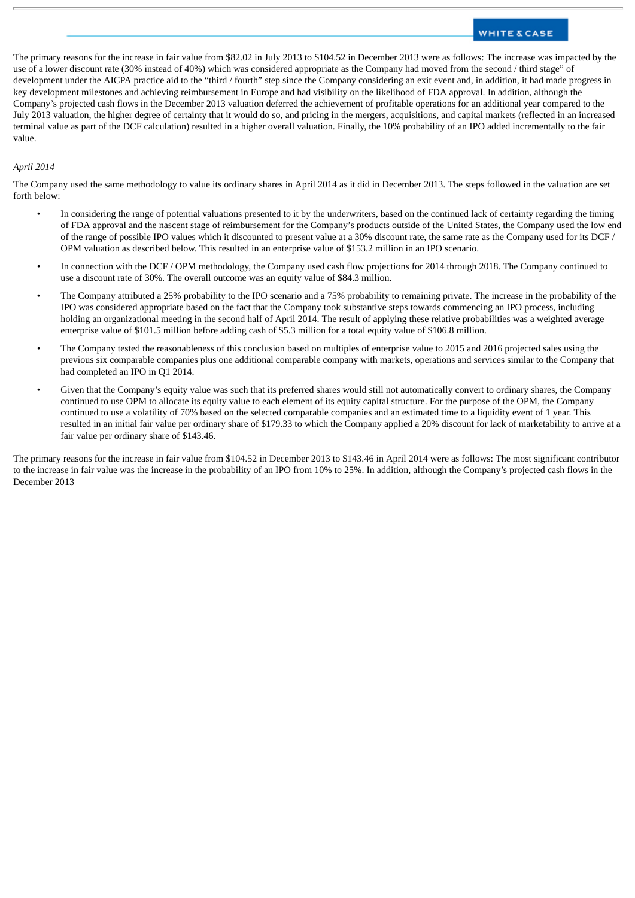# **WHITE & CASE**

The primary reasons for the increase in fair value from \$82.02 in July 2013 to \$104.52 in December 2013 were as follows: The increase was impacted by the use of a lower discount rate (30% instead of 40%) which was considered appropriate as the Company had moved from the second / third stage" of development under the AICPA practice aid to the "third / fourth" step since the Company considering an exit event and, in addition, it had made progress in key development milestones and achieving reimbursement in Europe and had visibility on the likelihood of FDA approval. In addition, although the Company's projected cash flows in the December 2013 valuation deferred the achievement of profitable operations for an additional year compared to the July 2013 valuation, the higher degree of certainty that it would do so, and pricing in the mergers, acquisitions, and capital markets (reflected in an increased terminal value as part of the DCF calculation) resulted in a higher overall valuation. Finally, the 10% probability of an IPO added incrementally to the fair value.

# *April 2014*

The Company used the same methodology to value its ordinary shares in April 2014 as it did in December 2013. The steps followed in the valuation are set forth below:

- In considering the range of potential valuations presented to it by the underwriters, based on the continued lack of certainty regarding the timing of FDA approval and the nascent stage of reimbursement for the Company's products outside of the United States, the Company used the low end of the range of possible IPO values which it discounted to present value at a 30% discount rate, the same rate as the Company used for its DCF / OPM valuation as described below. This resulted in an enterprise value of \$153.2 million in an IPO scenario.
- In connection with the DCF / OPM methodology, the Company used cash flow projections for 2014 through 2018. The Company continued to use a discount rate of 30%. The overall outcome was an equity value of \$84.3 million.
- The Company attributed a 25% probability to the IPO scenario and a 75% probability to remaining private. The increase in the probability of the IPO was considered appropriate based on the fact that the Company took substantive steps towards commencing an IPO process, including holding an organizational meeting in the second half of April 2014. The result of applying these relative probabilities was a weighted average enterprise value of \$101.5 million before adding cash of \$5.3 million for a total equity value of \$106.8 million.
- The Company tested the reasonableness of this conclusion based on multiples of enterprise value to 2015 and 2016 projected sales using the previous six comparable companies plus one additional comparable company with markets, operations and services similar to the Company that had completed an IPO in Q1 2014.
- Given that the Company's equity value was such that its preferred shares would still not automatically convert to ordinary shares, the Company continued to use OPM to allocate its equity value to each element of its equity capital structure. For the purpose of the OPM, the Company continued to use a volatility of 70% based on the selected comparable companies and an estimated time to a liquidity event of 1 year. This resulted in an initial fair value per ordinary share of \$179.33 to which the Company applied a 20% discount for lack of marketability to arrive at a fair value per ordinary share of \$143.46.

The primary reasons for the increase in fair value from \$104.52 in December 2013 to \$143.46 in April 2014 were as follows: The most significant contributor to the increase in fair value was the increase in the probability of an IPO from 10% to 25%. In addition, although the Company's projected cash flows in the December 2013